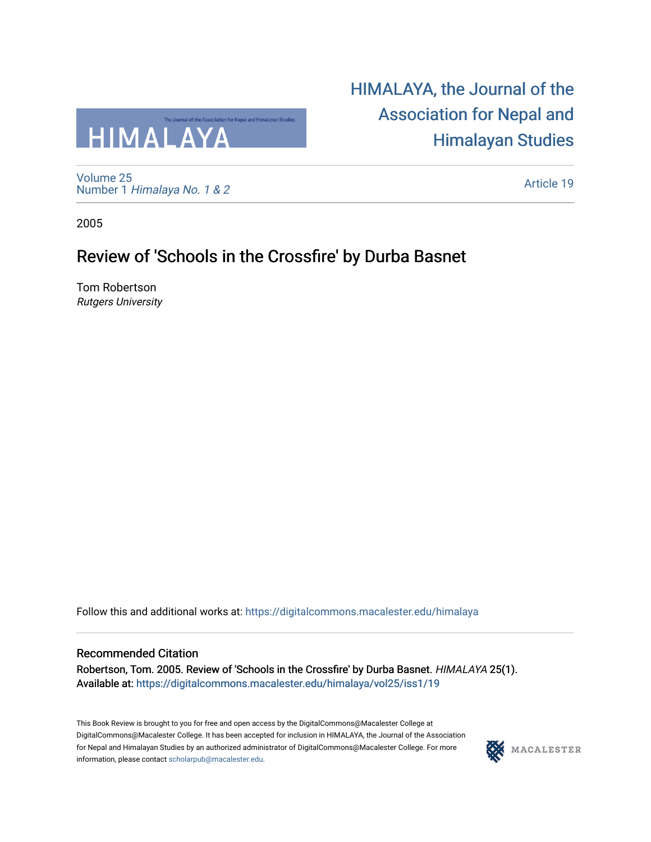

[Volume 25](https://digitalcommons.macalester.edu/himalaya/vol25) Number 1 [Himalaya No. 1 & 2](https://digitalcommons.macalester.edu/himalaya/vol25/iss1)  [HIMALAYA, the Journal of the](https://digitalcommons.macalester.edu/himalaya)  [Association for Nepal and](https://digitalcommons.macalester.edu/himalaya)  [Himalayan Studies](https://digitalcommons.macalester.edu/himalaya) 

[Article 19](https://digitalcommons.macalester.edu/himalaya/vol25/iss1/19) 

2005

# Review of 'Schools in the Crossfire' by Durba Basnet

Tom Robertson Rutgers University

Follow this and additional works at: [https://digitalcommons.macalester.edu/himalaya](https://digitalcommons.macalester.edu/himalaya?utm_source=digitalcommons.macalester.edu%2Fhimalaya%2Fvol25%2Fiss1%2F19&utm_medium=PDF&utm_campaign=PDFCoverPages)

#### Recommended Citation

Robertson, Tom. 2005. Review of 'Schools in the Crossfire' by Durba Basnet. HIMALAYA 25(1). Available at: https:/[/digitalcommons.macalester.edu/himala](https://digitalcommons.macalester.edu/himalaya/vol25/iss1/19?utm_source=digitalcommons.macalester.edu%2Fhimalaya%2Fvol25%2Fiss1%2F19&utm_medium=PDF&utm_campaign=PDFCoverPages)ya/vol25/iss1/19

This Book Review is brought to you for free and open access by the DigitalCommons@Macalester College at DigitalCommons@Macalester College. It has been accepted for inclusion in HIMALAYA, the Journal of the Association for Nepal and Himalayan Studies by an authorized administrator of DigitalCommons@Macalester College. For more information, please contact [scholarpub@macalester.edu](mailto:scholarpub@macalester.edu).

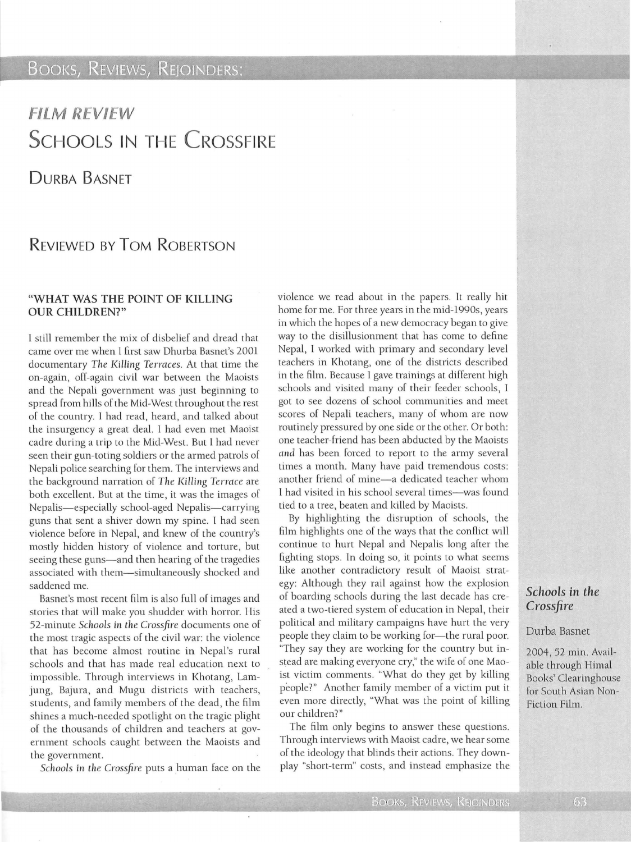### **BOOKS, REVIEWS, REJOINDERS:**

# FILM REVIEW **SCHOOLS IN THE CROSSFIRE**

DURBA BASNET

## REVIEWED BY ToM RoBERTSON

#### "WHAT WAS THE POINT OF KILLING OUR CHILDREN?"

l still remember the mix of disbelief and dread that came over me when l first saw Dhurba Basnet's 2001 documentary *The* Killing *Terraces.* At that time the on-again, off-again civil war between the Maoists and the Nepali government was just beginning to spread from hills of the Mid-West throughout the rest of the country. l had read, heard, and talked about the insurgency a great deal. l had even met Maoist cadre during a trip to the Mid-West. But I had never seen their gun-toting soldiers or the armed patrols of Nepali police searching for them. The interviews and the background narration of *The* Killing *Terrace* are both excellent. But at the time, it was the images of Nepalis-especially school-aged Nepalis-carrying guns that sent a shiver down my spine. l had seen violence before in Nepal, and knew of the country's mostly hidden history of violence and torture, but seeing these guns-and then hearing of the tragedies associated with them-simultaneously shocked and saddened me.

Basnet's most recent film is also full of images and stories that will make you shudder with horror. His 52-minute *Schools* in *the Crossfire* documents one of the most tragic aspects of the civil war: the violence that has become almost routine in Nepal's rural schools and that has made real education next to impossible. Through interviews in Khotang, Lamjung, Bajura, and Mugu districts with teachers, students, and family members of the dead, the film shines a much-needed spotlight on the tragic plight of the thousands of children and teachers at government schools caught between the Maoists and the government.

*Schools* in the *Crossfire* puts a human face on the

violence we read about in the papers. It really hit home for me. For three years in the mid-1990s, years in which the hopes of a new democracy began to give way to the disillusionment that has come to define Nepal, l worked with primary and secondary level teachers in Khotang, one of the districts described in the film. Because l gave trainings at different high schools and visited many of their feeder schools, I got to see dozens of school communities and meet scores of Nepali teachers, many of whom are now routinely pressured by one side or the other. Or both: one teacher-friend has been abducted by the Maoists and has been forced to report to the army several times a month. Many have paid tremendous costs: another friend of mine-a dedicated teacher whom l had visited in his school several times-was found tied to a tree, beaten and killed by Maoists.

By highlighting the disruption of schools, the film highlights one of the ways that the conflict will continue to hurt Nepal and Nepalis long after the fighting stops. In doing so, it points to what seems like another contradictory result of Maoist strategy: Although they rail against how the explosion of boarding schools during the last decade has created a two-tiered system of education in Nepal, their political and military campaigns have hurt the very people they claim to be working for-the rural poor. "They say they are working for the country but instead are making everyone cry," the wife of one Maoist victim comments. "What do they get by killing people?" Another family member of a victim put it even more directly, "What was the point of killing our children?"

The film only begins to answer these questions. Through interviews with Maoist cadre, we hear some of the ideology that blinds their actions. They downplay "short-term" costs, and instead emphasize the

### *Schools in the Crossfire*

#### Durba Basnet

2004, 52 min. Available through Himal Books' Clearinghouse for South Asian Non-Fiction Film.